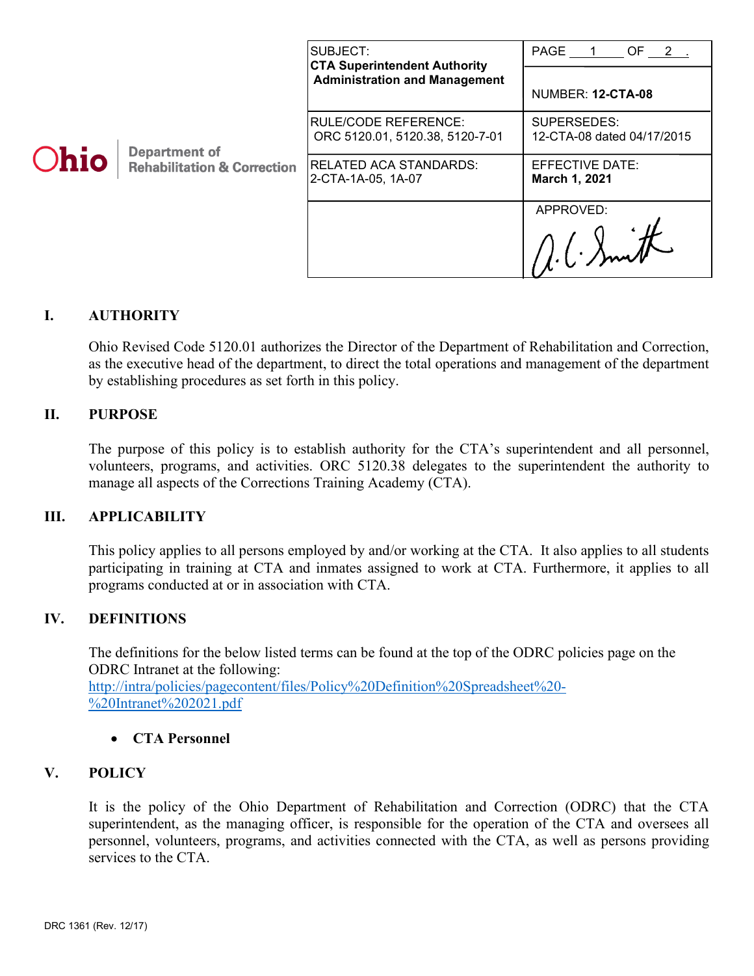| <b>Ohio</b> | <b>Department of</b><br><b>Rehabilitation &amp; Correction</b> | SUBJECT:<br><b>CTA Superintendent Authority</b><br><b>Administration and Management</b> | PAGE 1<br>OF $2$ .                        |
|-------------|----------------------------------------------------------------|-----------------------------------------------------------------------------------------|-------------------------------------------|
|             |                                                                |                                                                                         | NUMBER: 12-CTA-08                         |
|             |                                                                | IRULE/CODE REFERENCE:<br>ORC 5120.01, 5120.38, 5120-7-01                                | SUPERSEDES:<br>12-CTA-08 dated 04/17/2015 |
|             |                                                                | RELATED ACA STANDARDS:<br>2-CTA-1A-05, 1A-07                                            | EFFECTIVE DATE:<br>March 1, 2021          |
|             |                                                                |                                                                                         | APPROVED:                                 |

# **I. AUTHORITY**

Ohio Revised Code 5120.01 authorizes the Director of the Department of Rehabilitation and Correction, as the executive head of the department, to direct the total operations and management of the department by establishing procedures as set forth in this policy.

## **II. PURPOSE**

The purpose of this policy is to establish authority for the CTA's superintendent and all personnel, volunteers, programs, and activities. ORC 5120.38 delegates to the superintendent the authority to manage all aspects of the Corrections Training Academy (CTA).

### **III. APPLICABILITY**

This policy applies to all persons employed by and/or working at the CTA. It also applies to all students participating in training at CTA and inmates assigned to work at CTA. Furthermore, it applies to all programs conducted at or in association with CTA.

# **IV. DEFINITIONS**

The definitions for the below listed terms can be found at the top of the ODRC policies page on the ODRC Intranet at the following: [http://intra/policies/pagecontent/files/Policy%20Definition%20Spreadsheet%20-](http://intra/policies/pagecontent/files/Policy%20Definition%20Spreadsheet%20-%20Intranet%202021.pdf) [%20Intranet%202021.pdf](http://intra/policies/pagecontent/files/Policy%20Definition%20Spreadsheet%20-%20Intranet%202021.pdf)

### • **CTA Personnel**

# **V. POLICY**

It is the policy of the Ohio Department of Rehabilitation and Correction (ODRC) that the CTA superintendent, as the managing officer, is responsible for the operation of the CTA and oversees all personnel, volunteers, programs, and activities connected with the CTA, as well as persons providing services to the CTA.